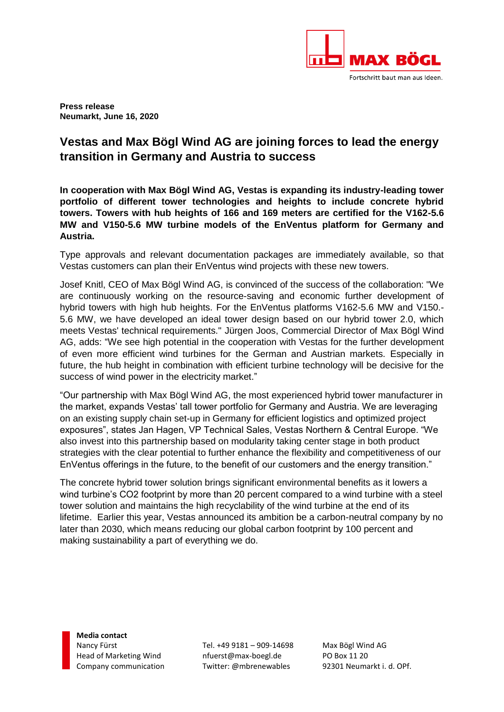

**Press release Neumarkt, June 16, 2020**

## **Vestas and Max Bögl Wind AG are joining forces to lead the energy transition in Germany and Austria to success**

**In cooperation with Max Bögl Wind AG, Vestas is expanding its industry-leading tower portfolio of different tower technologies and heights to include concrete hybrid towers. Towers with hub heights of 166 and 169 meters are certified for the V162-5.6 MW and V150-5.6 MW turbine models of the EnVentus platform for Germany and Austria.**

Type approvals and relevant documentation packages are immediately available, so that Vestas customers can plan their EnVentus wind projects with these new towers.

Josef Knitl, CEO of Max Bögl Wind AG, is convinced of the success of the collaboration: "We are continuously working on the resource-saving and economic further development of hybrid towers with high hub heights. For the EnVentus platforms V162-5.6 MW and V150.- 5.6 MW, we have developed an ideal tower design based on our hybrid tower 2.0, which meets Vestas' technical requirements." Jürgen Joos, Commercial Director of Max Bögl Wind AG, adds: "We see high potential in the cooperation with Vestas for the further development of even more efficient wind turbines for the German and Austrian markets. Especially in future, the hub height in combination with efficient turbine technology will be decisive for the success of wind power in the electricity market."

"Our partnership with Max Bögl Wind AG, the most experienced hybrid tower manufacturer in the market, expands Vestas' tall tower portfolio for Germany and Austria. We are leveraging on an existing supply chain set-up in Germany for efficient logistics and optimized project exposures", states Jan Hagen, VP Technical Sales, Vestas Northern & Central Europe. "We also invest into this partnership based on modularity taking center stage in both product strategies with the clear potential to further enhance the flexibility and competitiveness of our EnVentus offerings in the future, to the benefit of our customers and the energy transition."

The concrete hybrid tower solution brings significant environmental benefits as it lowers a wind turbine's CO2 footprint by more than 20 percent compared to a wind turbine with a steel tower solution and maintains the high recyclability of the wind turbine at the end of its lifetime. Earlier this year, Vestas announced its ambition be a carbon-neutral company by no later than 2030, which means reducing our global carbon footprint by 100 percent and making sustainability a part of everything we do.

**Media contact** Nancy Fürst Tel. +49 9181 – 909-14698 Max Bögl Wind AG

Head of Marketing Wind nfuerst@max-boegl.de PO Box 11 20 Company communication Twitter: @mbrenewables 92301 Neumarkt i. d. OPf.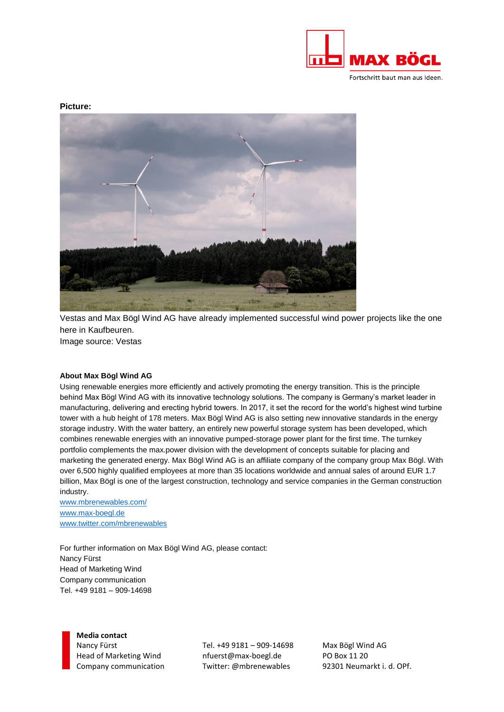

## **Picture:**



Vestas and Max Bögl Wind AG have already implemented successful wind power projects like the one here in Kaufbeuren. Image source: Vestas

## **About Max Bögl Wind AG**

Using renewable energies more efficiently and actively promoting the energy transition. This is the principle behind Max Bögl Wind AG with its innovative technology solutions. The company is Germany's market leader in manufacturing, delivering and erecting hybrid towers. In 2017, it set the record for the world's highest wind turbine tower with a hub height of 178 meters. Max Bögl Wind AG is also setting new innovative standards in the energy storage industry. With the water battery, an entirely new powerful storage system has been developed, which combines renewable energies with an innovative pumped-storage power plant for the first time. The turnkey portfolio complements the max.power division with the development of concepts suitable for placing and marketing the generated energy. Max Bögl Wind AG is an affiliate company of the company group Max Bögl. With over 6,500 highly qualified employees at more than 35 locations worldwide and annual sales of around EUR 1.7 billion, Max Bögl is one of the largest construction, technology and service companies in the German construction industry.

[www.mbrenewables.com/](http://www.mbrenewables.com/) [www.max-boegl.de](http://www.max-boegl.de/) [www.twitter.com/mbrenewables](http://www.twitter.com/mbrenewables)

For further information on Max Bögl Wind AG, please contact: Nancy Fürst Head of Marketing Wind Company communication Tel. +49 9181 – 909-14698

**Media contact** Nancy Fürst Tel. +49 9181 – 909-14698 Max Bögl Wind AG

Head of Marketing Wind nfuerst@max-boegl.de PO Box 11 20 Company communication Twitter: @mbrenewables 92301 Neumarkt i. d. OPf.